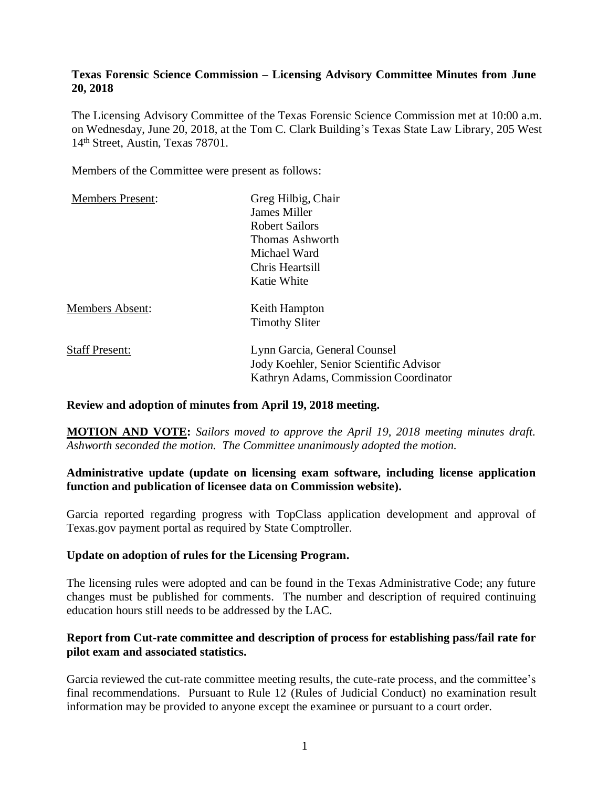### **Texas Forensic Science Commission – Licensing Advisory Committee Minutes from June 20, 2018**

The Licensing Advisory Committee of the Texas Forensic Science Commission met at 10:00 a.m. on Wednesday, June 20, 2018, at the Tom C. Clark Building's Texas State Law Library, 205 West 14th Street, Austin, Texas 78701.

Members of the Committee were present as follows:

| <b>Members Present:</b> | Greg Hilbig, Chair                                                      |
|-------------------------|-------------------------------------------------------------------------|
|                         | James Miller                                                            |
|                         | <b>Robert Sailors</b>                                                   |
|                         | Thomas Ashworth                                                         |
|                         | Michael Ward                                                            |
|                         | Chris Heartsill                                                         |
|                         | Katie White                                                             |
| <b>Members Absent:</b>  | Keith Hampton                                                           |
|                         | <b>Timothy Sliter</b>                                                   |
| <b>Staff Present:</b>   | Lynn Garcia, General Counsel<br>Jody Koehler, Senior Scientific Advisor |
|                         | Kathryn Adams, Commission Coordinator                                   |
|                         |                                                                         |

#### **Review and adoption of minutes from April 19, 2018 meeting.**

**MOTION AND VOTE:** *Sailors moved to approve the April 19, 2018 meeting minutes draft. Ashworth seconded the motion. The Committee unanimously adopted the motion.*

# **Administrative update (update on licensing exam software, including license application function and publication of licensee data on Commission website).**

Garcia reported regarding progress with TopClass application development and approval of Texas.gov payment portal as required by State Comptroller.

#### **Update on adoption of rules for the Licensing Program.**

The licensing rules were adopted and can be found in the Texas Administrative Code; any future changes must be published for comments. The number and description of required continuing education hours still needs to be addressed by the LAC.

### **Report from Cut-rate committee and description of process for establishing pass/fail rate for pilot exam and associated statistics.**

Garcia reviewed the cut-rate committee meeting results, the cute-rate process, and the committee's final recommendations. Pursuant to Rule 12 (Rules of Judicial Conduct) no examination result information may be provided to anyone except the examinee or pursuant to a court order.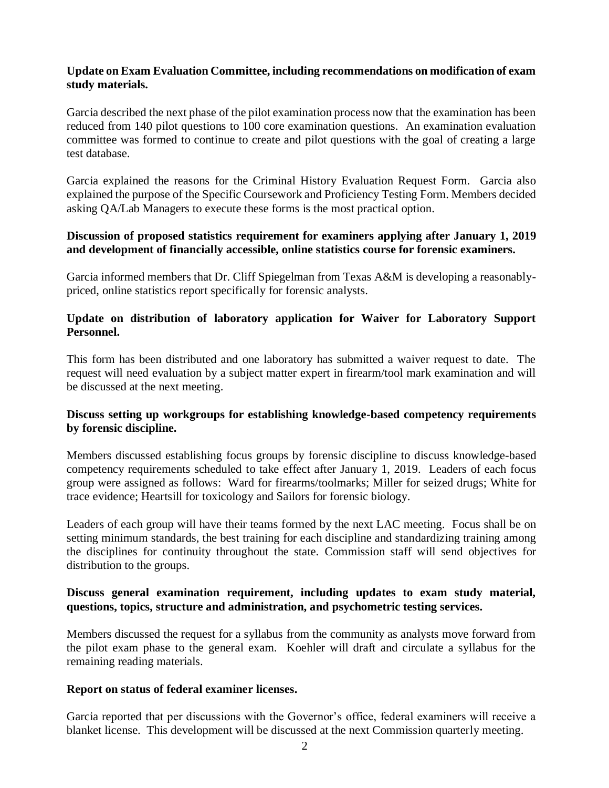### **Update on Exam Evaluation Committee, including recommendations on modification of exam study materials.**

Garcia described the next phase of the pilot examination process now that the examination has been reduced from 140 pilot questions to 100 core examination questions. An examination evaluation committee was formed to continue to create and pilot questions with the goal of creating a large test database.

Garcia explained the reasons for the Criminal History Evaluation Request Form. Garcia also explained the purpose of the Specific Coursework and Proficiency Testing Form. Members decided asking QA/Lab Managers to execute these forms is the most practical option.

## **Discussion of proposed statistics requirement for examiners applying after January 1, 2019 and development of financially accessible, online statistics course for forensic examiners.**

Garcia informed members that Dr. Cliff Spiegelman from Texas A&M is developing a reasonablypriced, online statistics report specifically for forensic analysts.

## **Update on distribution of laboratory application for Waiver for Laboratory Support Personnel.**

This form has been distributed and one laboratory has submitted a waiver request to date. The request will need evaluation by a subject matter expert in firearm/tool mark examination and will be discussed at the next meeting.

# **Discuss setting up workgroups for establishing knowledge-based competency requirements by forensic discipline.**

Members discussed establishing focus groups by forensic discipline to discuss knowledge-based competency requirements scheduled to take effect after January 1, 2019. Leaders of each focus group were assigned as follows: Ward for firearms/toolmarks; Miller for seized drugs; White for trace evidence; Heartsill for toxicology and Sailors for forensic biology.

Leaders of each group will have their teams formed by the next LAC meeting. Focus shall be on setting minimum standards, the best training for each discipline and standardizing training among the disciplines for continuity throughout the state. Commission staff will send objectives for distribution to the groups.

### **Discuss general examination requirement, including updates to exam study material, questions, topics, structure and administration, and psychometric testing services.**

Members discussed the request for a syllabus from the community as analysts move forward from the pilot exam phase to the general exam. Koehler will draft and circulate a syllabus for the remaining reading materials.

#### **Report on status of federal examiner licenses.**

Garcia reported that per discussions with the Governor's office, federal examiners will receive a blanket license. This development will be discussed at the next Commission quarterly meeting.